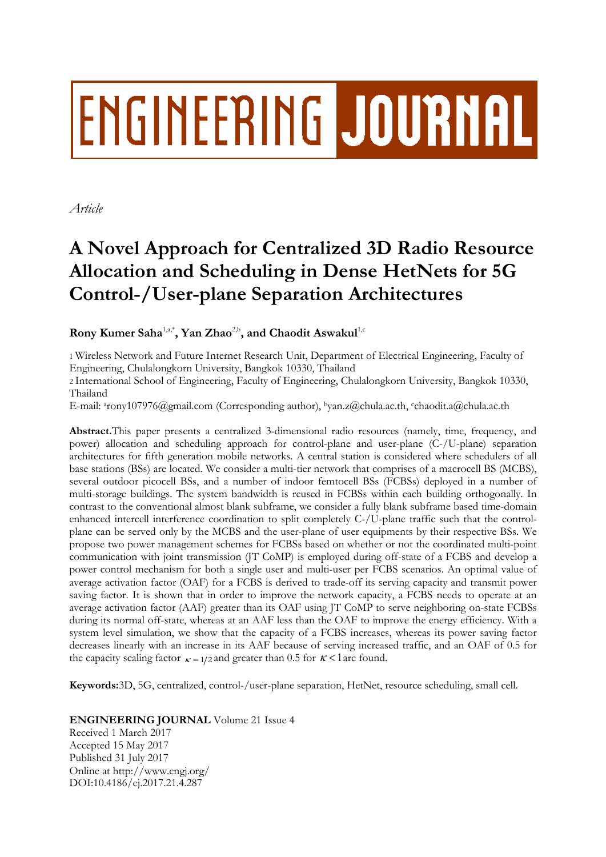# **ENGINEERING JOURNAL**

*Article*

# **A Novel Approach for Centralized 3D Radio Resource Allocation and Scheduling in Dense HetNets for 5G Control-/User-plane Separation Architectures**

**Rony Kumer Saha**1,a,\* **, Yan Zhao**2,b **, and Chaodit Aswakul**1,c

1 Wireless Network and Future Internet Research Unit, Department of Electrical Engineering, Faculty of Engineering, Chulalongkorn University, Bangkok 10330, Thailand

2 International School of Engineering, Faculty of Engineering, Chulalongkorn University, Bangkok 10330, Thailand

E-mail: <sup>a</sup>[rony107976@gmail.com](mailto:arony107976@gmail.com) (Corresponding author), <sup>b</sup>[yan.z@chula.ac.th,](mailto:byan.z@chula.ac.th) <sup>c</sup>chaodit.a@chula.ac.th

**Abstract.**This paper presents a centralized 3-dimensional radio resources (namely, time, frequency, and power) allocation and scheduling approach for control-plane and user-plane (C-/U-plane) separation architectures for fifth generation mobile networks. A central station is considered where schedulers of all base stations (BSs) are located. We consider a multi-tier network that comprises of a macrocell BS (MCBS), several outdoor picocell BSs, and a number of indoor femtocell BSs (FCBSs) deployed in a number of multi-storage buildings. The system bandwidth is reused in FCBSs within each building orthogonally. In contrast to the conventional almost blank subframe, we consider a fully blank subframe based time-domain enhanced intercell interference coordination to split completely C-/U-plane traffic such that the controlplane can be served only by the MCBS and the user-plane of user equipments by their respective BSs. We propose two power management schemes for FCBSs based on whether or not the coordinated multi-point communication with joint transmission (JT CoMP) is employed during off-state of a FCBS and develop a power control mechanism for both a single user and multi-user per FCBS scenarios. An optimal value of average activation factor (OAF) for a FCBS is derived to trade-off its serving capacity and transmit power saving factor. It is shown that in order to improve the network capacity, a FCBS needs to operate at an average activation factor (AAF) greater than its OAF using JT CoMP to serve neighboring on-state FCBSs during its normal off-state, whereas at an AAF less than the OAF to improve the energy efficiency. With a system level simulation, we show that the capacity of a FCBS increases, whereas its power saving factor decreases linearly with an increase in its AAF because of serving increased traffic, and an OAF of 0.5 for the capacity scaling factor  $\kappa = 1/2$  and greater than 0.5 for  $\kappa < 1$  are found.

**Keywords:**3D, 5G, centralized, control-/user-plane separation, HetNet, resource scheduling, small cell.

**ENGINEERING JOURNAL** Volume 21 Issue 4

Received 1 March 2017 Accepted 15 May 2017 Published 31 July 2017 Online at http://www.engj.org/ DOI:10.4186/ej.2017.21.4.287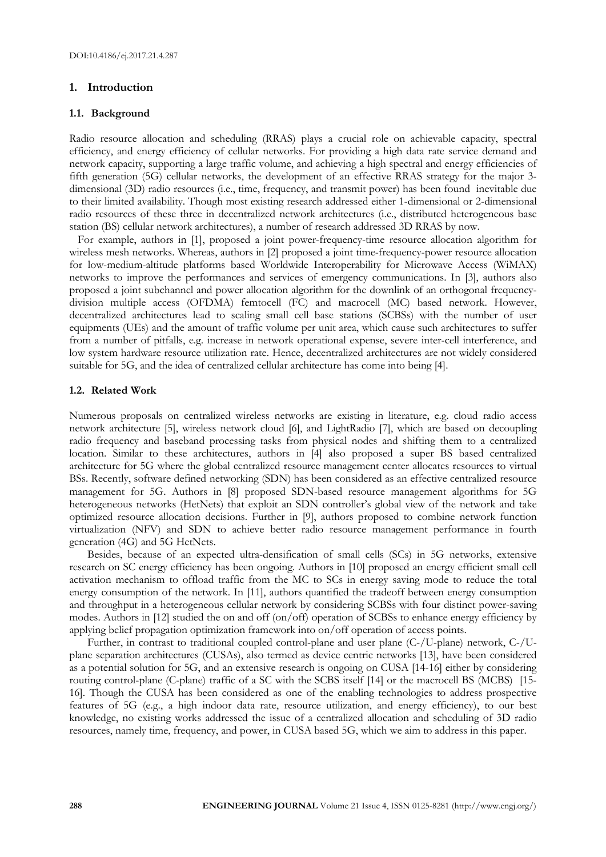# **1. Introduction**

#### **1.1. Background**

Radio resource allocation and scheduling (RRAS) plays a crucial role on achievable capacity, spectral efficiency, and energy efficiency of cellular networks. For providing a high data rate service demand and network capacity, supporting a large traffic volume, and achieving a high spectral and energy efficiencies of fifth generation (5G) cellular networks, the development of an effective RRAS strategy for the major 3 dimensional (3D) radio resources (i.e., time, frequency, and transmit power) has been found inevitable due to their limited availability. Though most existing research addressed either 1-dimensional or 2-dimensional radio resources of these three in decentralized network architectures (i.e., distributed heterogeneous base station (BS) cellular network architectures), a number of research addressed 3D RRAS by now.

 For example, authors in [1], proposed a joint power-frequency-time resource allocation algorithm for wireless mesh networks. Whereas, authors in [2] proposed a joint time-frequency-power resource allocation for low-medium-altitude platforms based Worldwide Interoperability for Microwave Access (WiMAX) networks to improve the performances and services of emergency communications. In [3], authors also proposed a joint subchannel and power allocation algorithm for the downlink of an orthogonal frequencydivision multiple access (OFDMA) femtocell (FC) and macrocell (MC) based network. However, decentralized architectures lead to scaling small cell base stations (SCBSs) with the number of user equipments (UEs) and the amount of traffic volume per unit area, which cause such architectures to suffer from a number of pitfalls, e.g. increase in network operational expense, severe inter-cell interference, and low system hardware resource utilization rate. Hence, decentralized architectures are not widely considered suitable for 5G, and the idea of centralized cellular architecture has come into being [4].

#### **1.2. Related Work**

Numerous proposals on centralized wireless networks are existing in literature, e.g. cloud radio access network architecture [5], wireless network cloud [6], and LightRadio [7], which are based on decoupling radio frequency and baseband processing tasks from physical nodes and shifting them to a centralized location. Similar to these architectures, authors in [4] also proposed a super BS based centralized architecture for 5G where the global centralized resource management center allocates resources to virtual BSs. Recently, software defined networking (SDN) has been considered as an effective centralized resource management for 5G. Authors in [8] proposed SDN-based resource management algorithms for 5G heterogeneous networks (HetNets) that exploit an SDN controller's global view of the network and take optimized resource allocation decisions. Further in [9], authors proposed to combine network function virtualization (NFV) and SDN to achieve better radio resource management performance in fourth generation (4G) and 5G HetNets.

Besides, because of an expected ultra-densification of small cells (SCs) in 5G networks, extensive research on SC energy efficiency has been ongoing. Authors in [10] proposed an energy efficient small cell activation mechanism to offload traffic from the MC to SCs in energy saving mode to reduce the total energy consumption of the network. In [11], authors quantified the tradeoff between energy consumption and throughput in a heterogeneous cellular network by considering SCBSs with four distinct power-saving modes. Authors in [12] studied the on and off (on/off) operation of SCBSs to enhance energy efficiency by applying belief propagation optimization framework into on/off operation of access points.

Further, in contrast to traditional coupled control-plane and user plane (C-/U-plane) network, C-/Uplane separation architectures (CUSAs), also termed as device centric networks [13], have been considered as a potential solution for 5G, and an extensive research is ongoing on CUSA [14-16] either by considering routing control-plane (C-plane) traffic of a SC with the SCBS itself [14] or the macrocell BS (MCBS) [15- 16]. Though the CUSA has been considered as one of the enabling technologies to address prospective features of 5G (e.g., a high indoor data rate, resource utilization, and energy efficiency), to our best knowledge, no existing works addressed the issue of a centralized allocation and scheduling of 3D radio resources, namely time, frequency, and power, in CUSA based 5G, which we aim to address in this paper.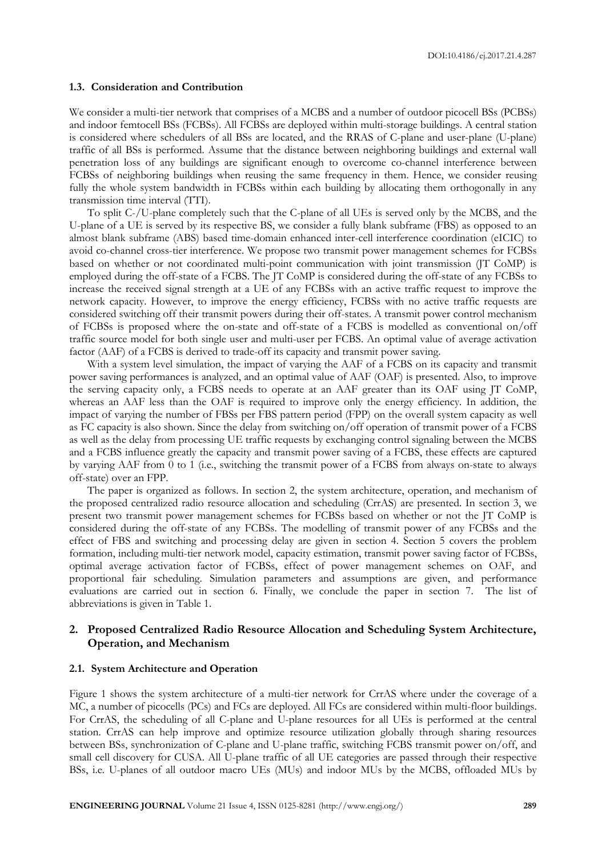DOI:10.4186/ej.2017.21.4.287

#### **1.3. Consideration and Contribution**

We consider a multi-tier network that comprises of a MCBS and a number of outdoor picocell BSs (PCBSs) and indoor femtocell BSs (FCBSs). All FCBSs are deployed within multi-storage buildings. A central station is considered where schedulers of all BSs are located, and the RRAS of C-plane and user-plane (U-plane) traffic of all BSs is performed. Assume that the distance between neighboring buildings and external wall penetration loss of any buildings are significant enough to overcome co-channel interference between FCBSs of neighboring buildings when reusing the same frequency in them. Hence, we consider reusing fully the whole system bandwidth in FCBSs within each building by allocating them orthogonally in any transmission time interval (TTI).

To split C-/U-plane completely such that the C-plane of all UEs is served only by the MCBS, and the U-plane of a UE is served by its respective BS, we consider a fully blank subframe (FBS) as opposed to an almost blank subframe (ABS) based time-domain enhanced inter-cell interference coordination (eICIC) to avoid co-channel cross-tier interference. We propose two transmit power management schemes for FCBSs based on whether or not coordinated multi-point communication with joint transmission (JT CoMP) is employed during the off-state of a FCBS. The JT CoMP is considered during the off-state of any FCBSs to increase the received signal strength at a UE of any FCBSs with an active traffic request to improve the network capacity. However, to improve the energy efficiency, FCBSs with no active traffic requests are considered switching off their transmit powers during their off-states. A transmit power control mechanism of FCBSs is proposed where the on-state and off-state of a FCBS is modelled as conventional on/off traffic source model for both single user and multi-user per FCBS. An optimal value of average activation factor (AAF) of a FCBS is derived to trade-off its capacity and transmit power saving.

With a system level simulation, the impact of varying the AAF of a FCBS on its capacity and transmit power saving performances is analyzed, and an optimal value of AAF (OAF) is presented. Also, to improve the serving capacity only, a FCBS needs to operate at an AAF greater than its OAF using JT CoMP, whereas an AAF less than the OAF is required to improve only the energy efficiency. In addition, the impact of varying the number of FBSs per FBS pattern period (FPP) on the overall system capacity as well as FC capacity is also shown. Since the delay from switching on/off operation of transmit power of a FCBS as well as the delay from processing UE traffic requests by exchanging control signaling between the MCBS and a FCBS influence greatly the capacity and transmit power saving of a FCBS, these effects are captured by varying AAF from 0 to 1 (i.e., switching the transmit power of a FCBS from always on-state to always off-state) over an FPP.

The paper is organized as follows. In section 2, the system architecture, operation, and mechanism of the proposed centralized radio resource allocation and scheduling (CrrAS) are presented. In section 3, we present two transmit power management schemes for FCBSs based on whether or not the JT CoMP is considered during the off-state of any FCBSs. The modelling of transmit power of any FCBSs and the effect of FBS and switching and processing delay are given in section 4. Section 5 covers the problem formation, including multi-tier network model, capacity estimation, transmit power saving factor of FCBSs, optimal average activation factor of FCBSs, effect of power management schemes on OAF, and proportional fair scheduling. Simulation parameters and assumptions are given, and performance evaluations are carried out in section 6. Finally, we conclude the paper in section 7. The list of abbreviations is given in Table 1.

# **2. Proposed Centralized Radio Resource Allocation and Scheduling System Architecture, Operation, and Mechanism**

#### **2.1. System Architecture and Operation**

Figure 1 shows the system architecture of a multi-tier network for CrrAS where under the coverage of a MC, a number of picocells (PCs) and FCs are deployed. All FCs are considered within multi-floor buildings. For CrrAS, the scheduling of all C-plane and U-plane resources for all UEs is performed at the central station. CrrAS can help improve and optimize resource utilization globally through sharing resources between BSs, synchronization of C-plane and U-plane traffic, switching FCBS transmit power on/off, and small cell discovery for CUSA. All U-plane traffic of all UE categories are passed through their respective BSs, i.e. U-planes of all outdoor macro UEs (MUs) and indoor MUs by the MCBS, offloaded MUs by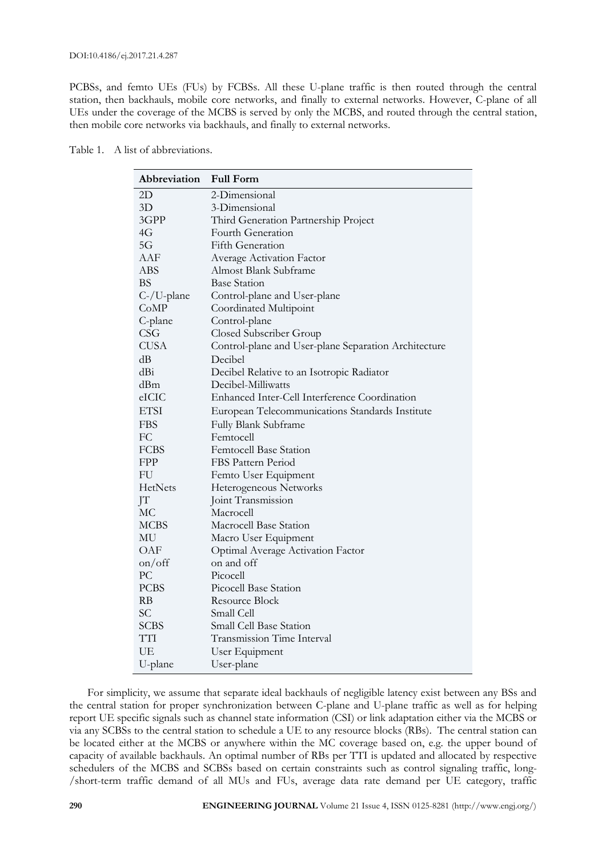DOI:10.4186/ej.2017.21.4.287

PCBSs, and femto UEs (FUs) by FCBSs. All these U-plane traffic is then routed through the central station, then backhauls, mobile core networks, and finally to external networks. However, C-plane of all UEs under the coverage of the MCBS is served by only the MCBS, and routed through the central station, then mobile core networks via backhauls, and finally to external networks.

| Abbreviation Full Form |                              |
|------------------------|------------------------------|
| 2D                     | 2-Dimensional                |
| 3D                     | 3-Dimensional                |
| 3GPP                   | Third Generation Parti       |
| 4G                     | Fourth Generation            |
| $\sim$                 | $\Gamma$ ' $\Gamma$ $\Gamma$ |

| Abbreviation           | <b>Full Form</b>                                     |  |  |
|------------------------|------------------------------------------------------|--|--|
| 2D                     | 2-Dimensional                                        |  |  |
| 3D                     | 3-Dimensional                                        |  |  |
| 3GPP                   | Third Generation Partnership Project                 |  |  |
| 4G                     | Fourth Generation                                    |  |  |
| 5G                     | Fifth Generation                                     |  |  |
| AAF                    | Average Activation Factor                            |  |  |
| ABS                    | Almost Blank Subframe                                |  |  |
| BS                     | <b>Base Station</b>                                  |  |  |
| C-/U-plane             | Control-plane and User-plane                         |  |  |
| CoMP                   | Coordinated Multipoint                               |  |  |
| C-plane                | Control-plane                                        |  |  |
| <b>CSG</b>             | Closed Subscriber Group                              |  |  |
| <b>CUSA</b>            | Control-plane and User-plane Separation Architecture |  |  |
| dВ                     | Decibel                                              |  |  |
| dBi                    | Decibel Relative to an Isotropic Radiator            |  |  |
| dBm                    | Decibel-Milliwatts                                   |  |  |
| eICIC                  | Enhanced Inter-Cell Interference Coordination        |  |  |
| <b>ETSI</b>            | European Telecommunications Standards Institute      |  |  |
| <b>FBS</b>             | Fully Blank Subframe                                 |  |  |
| FC                     | Femtocell                                            |  |  |
| FCBS                   | Femtocell Base Station                               |  |  |
| <b>FPP</b>             | FBS Pattern Period                                   |  |  |
| FU                     | Femto User Equipment                                 |  |  |
| <b>HetNets</b>         | Heterogeneous Networks                               |  |  |
| JT                     | Joint Transmission                                   |  |  |
| МC                     | Macrocell                                            |  |  |
| <b>MCBS</b>            | Macrocell Base Station                               |  |  |
| ΜU                     | Macro User Equipment                                 |  |  |
| OAF                    | <b>Optimal Average Activation Factor</b>             |  |  |
| $\text{on}/\text{off}$ | on and off                                           |  |  |
| PС                     | Picocell                                             |  |  |
| <b>PCBS</b>            | Picocell Base Station                                |  |  |
| <b>RB</b>              | Resource Block                                       |  |  |
| <b>SC</b>              | Small Cell                                           |  |  |
| <b>SCBS</b>            | Small Cell Base Station                              |  |  |
| TTI                    | <b>Transmission Time Interval</b>                    |  |  |
| UE                     | User Equipment                                       |  |  |
| U-plane                | User-plane                                           |  |  |

For simplicity, we assume that separate ideal backhauls of negligible latency exist between any BSs and the central station for proper synchronization between C-plane and U-plane traffic as well as for helping report UE specific signals such as channel state information (CSI) or link adaptation either via the MCBS or via any SCBSs to the central station to schedule a UE to any resource blocks (RBs). The central station can be located either at the MCBS or anywhere within the MC coverage based on, e.g. the upper bound of capacity of available backhauls. An optimal number of RBs per TTI is updated and allocated by respective schedulers of the MCBS and SCBSs based on certain constraints such as control signaling traffic, long- /short-term traffic demand of all MUs and FUs, average data rate demand per UE category, traffic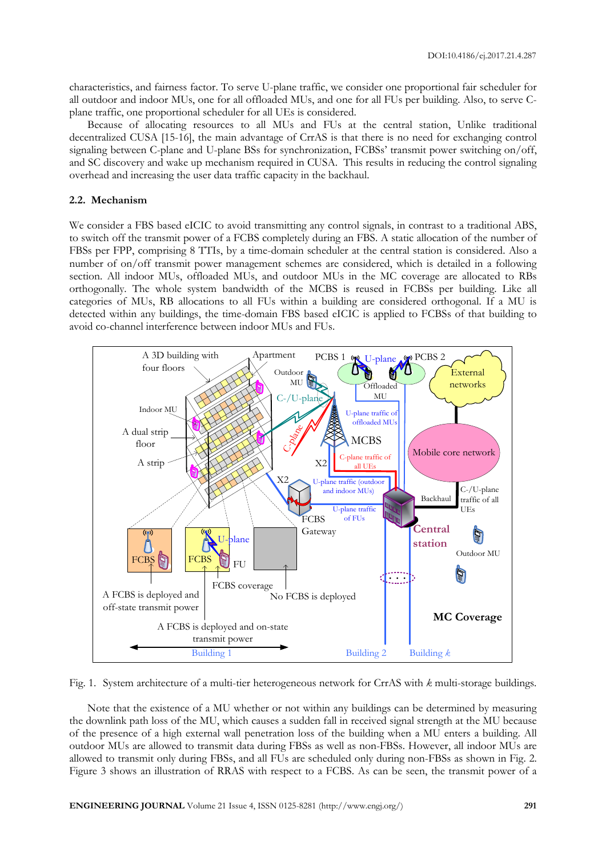characteristics, and fairness factor. To serve U-plane traffic, we consider one proportional fair scheduler for all outdoor and indoor MUs, one for all offloaded MUs, and one for all FUs per building. Also, to serve Cplane traffic, one proportional scheduler for all UEs is considered.

Because of allocating resources to all MUs and FUs at the central station, Unlike traditional decentralized CUSA [15-16], the main advantage of CrrAS is that there is no need for exchanging control signaling between C-plane and U-plane BSs for synchronization, FCBSs' transmit power switching on/off, and SC discovery and wake up mechanism required in CUSA. This results in reducing the control signaling overhead and increasing the user data traffic capacity in the backhaul.

# **2.2. Mechanism**

We consider a FBS based eICIC to avoid transmitting any control signals, in contrast to a traditional ABS, to switch off the transmit power of a FCBS completely during an FBS. A static allocation of the number of FBSs per FPP, comprising 8 TTIs, by a time-domain scheduler at the central station is considered. Also a number of on/off transmit power management schemes are considered, which is detailed in a following section. All indoor MUs, offloaded MUs, and outdoor MUs in the MC coverage are allocated to RBs orthogonally. The whole system bandwidth of the MCBS is reused in FCBSs per building. Like all categories of MUs, RB allocations to all FUs within a building are considered orthogonal. If a MU is detected within any buildings, the time-domain FBS based eICIC is applied to FCBSs of that building to avoid co-channel interference between indoor MUs and FUs.



Fig. 1. System architecture of a multi-tier heterogeneous network for CrrAS with *k* multi-storage buildings.

Note that the existence of a MU whether or not within any buildings can be determined by measuring the downlink path loss of the MU, which causes a sudden fall in received signal strength at the MU because of the presence of a high external wall penetration loss of the building when a MU enters a building. All outdoor MUs are allowed to transmit data during FBSs as well as non-FBSs. However, all indoor MUs are allowed to transmit only during FBSs, and all FUs are scheduled only during non-FBSs as shown in Fig. 2. Figure 3 shows an illustration of RRAS with respect to a FCBS. As can be seen, the transmit power of a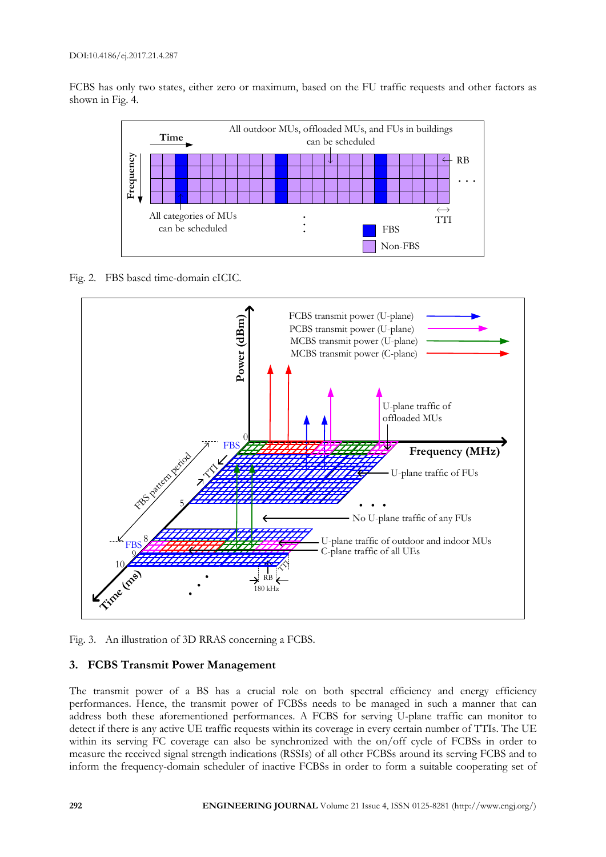FCBS has only two states, either zero or maximum, based on the FU traffic requests and other factors as shown in Fig. 4.



Fig. 2. FBS based time-domain eICIC.



Fig. 3. An illustration of 3D RRAS concerning a FCBS.

# **3. FCBS Transmit Power Management**

The transmit power of a BS has a crucial role on both spectral efficiency and energy efficiency performances. Hence, the transmit power of FCBSs needs to be managed in such a manner that can address both these aforementioned performances. A FCBS for serving U-plane traffic can monitor to detect if there is any active UE traffic requests within its coverage in every certain number of TTIs. The UE within its serving FC coverage can also be synchronized with the on/off cycle of FCBSs in order to measure the received signal strength indications (RSSIs) of all other FCBSs around its serving FCBS and to inform the frequency-domain scheduler of inactive FCBSs in order to form a suitable cooperating set of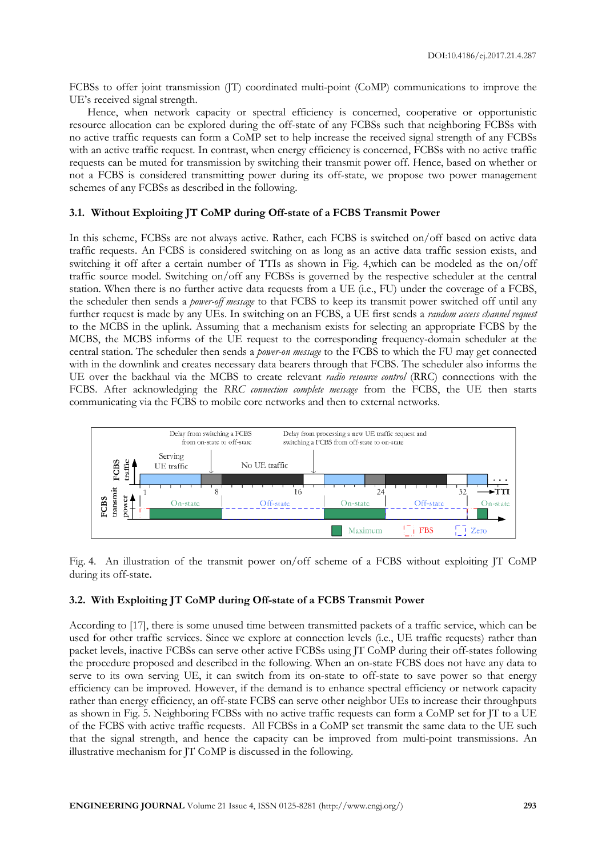FCBSs to offer joint transmission (JT) coordinated multi-point (CoMP) communications to improve the UE's received signal strength.

Hence, when network capacity or spectral efficiency is concerned, cooperative or opportunistic resource allocation can be explored during the off-state of any FCBSs such that neighboring FCBSs with no active traffic requests can form a CoMP set to help increase the received signal strength of any FCBSs with an active traffic request. In contrast, when energy efficiency is concerned, FCBSs with no active traffic requests can be muted for transmission by switching their transmit power off. Hence, based on whether or not a FCBS is considered transmitting power during its off-state, we propose two power management schemes of any FCBSs as described in the following.

# **3.1. Without Exploiting JT CoMP during Off-state of a FCBS Transmit Power**

In this scheme, FCBSs are not always active. Rather, each FCBS is switched on/off based on active data traffic requests. An FCBS is considered switching on as long as an active data traffic session exists, and switching it off after a certain number of TTIs as shown in Fig. 4,which can be modeled as the on/off traffic source model. Switching on/off any FCBSs is governed by the respective scheduler at the central station. When there is no further active data requests from a UE (i.e., FU) under the coverage of a FCBS, the scheduler then sends a *power-off message* to that FCBS to keep its transmit power switched off until any further request is made by any UEs. In switching on an FCBS, a UE first sends a *random access channel request* to the MCBS in the uplink. Assuming that a mechanism exists for selecting an appropriate FCBS by the MCBS, the MCBS informs of the UE request to the corresponding frequency-domain scheduler at the central station. The scheduler then sends a *power-on message* to the FCBS to which the FU may get connected with in the downlink and creates necessary data bearers through that FCBS. The scheduler also informs the UE over the backhaul via the MCBS to create relevant *radio resource control* (RRC) connections with the FCBS. After acknowledging the *RRC connection complete message* from the FCBS, the UE then starts communicating via the FCBS to mobile core networks and then to external networks.



Fig. 4. An illustration of the transmit power on/off scheme of a FCBS without exploiting JT CoMP during its off-state.

# **3.2. With Exploiting JT CoMP during Off-state of a FCBS Transmit Power**

According to [17], there is some unused time between transmitted packets of a traffic service, which can be used for other traffic services. Since we explore at connection levels (i.e., UE traffic requests) rather than packet levels, inactive FCBSs can serve other active FCBSs using JT CoMP during their off-states following the procedure proposed and described in the following. When an on-state FCBS does not have any data to serve to its own serving UE, it can switch from its on-state to off-state to save power so that energy efficiency can be improved. However, if the demand is to enhance spectral efficiency or network capacity rather than energy efficiency, an off-state FCBS can serve other neighbor UEs to increase their throughputs as shown in Fig. 5. Neighboring FCBSs with no active traffic requests can form a CoMP set for JT to a UE of the FCBS with active traffic requests. All FCBSs in a CoMP set transmit the same data to the UE such that the signal strength, and hence the capacity can be improved from multi-point transmissions. An illustrative mechanism for JT CoMP is discussed in the following.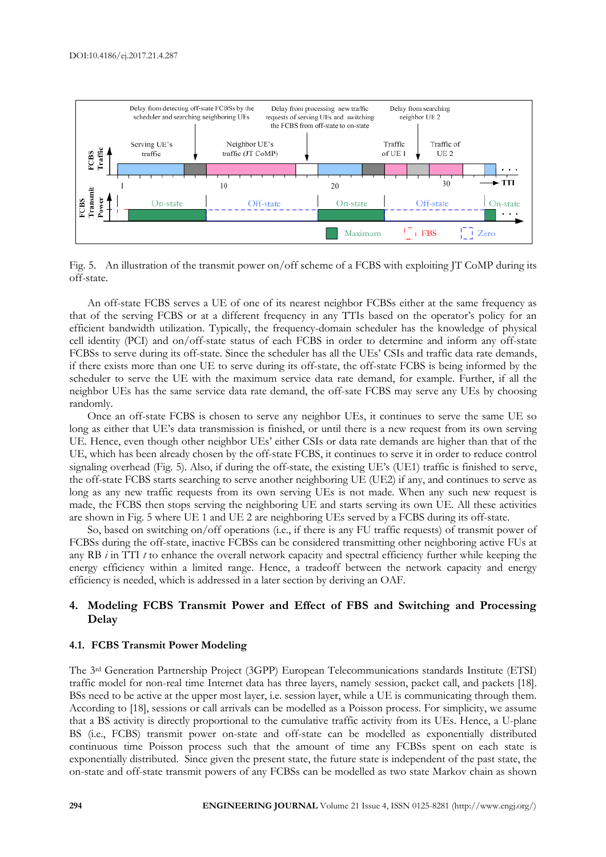

Fig. 5. An illustration of the transmit power on/off scheme of a FCBS with exploiting JT CoMP during its off-state.

An off-state FCBS serves a UE of one of its nearest neighbor FCBSs either at the same frequency as that of the serving FCBS or at a different frequency in any TTIs based on the operator's policy for an efficient bandwidth utilization. Typically, the frequency-domain scheduler has the knowledge of physical cell identity (PCI) and on/off-state status of each FCBS in order to determine and inform any off-state FCBSs to serve during its off-state. Since the scheduler has all the UEs' CSIs and traffic data rate demands, if there exists more than one UE to serve during its off-state, the off-state FCBS is being informed by the scheduler to serve the UE with the maximum service data rate demand, for example. Further, if all the neighbor UEs has the same service data rate demand, the off-sate FCBS may serve any UEs by choosing randomly.

Once an off-state FCBS is chosen to serve any neighbor UEs, it continues to serve the same UE so long as either that UE's data transmission is finished, or until there is a new request from its own serving UE. Hence, even though other neighbor UEs' either CSIs or data rate demands are higher than that of the UE, which has been already chosen by the off-state FCBS, it continues to serve it in order to reduce control signaling overhead (Fig. 5). Also, if during the off-state, the existing UE's (UE1) traffic is finished to serve, the off-state FCBS starts searching to serve another neighboring UE (UE2) if any, and continues to serve as long as any new traffic requests from its own serving UEs is not made. When any such new request is made, the FCBS then stops serving the neighboring UE and starts serving its own UE. All these activities are shown in Fig. 5 where UE 1 and UE 2 are neighboring UEs served by a FCBS during its off-state.

So, based on switching on/off operations (i.e., if there is any FU traffic requests) of transmit power of FCBSs during the off-state, inactive FCBSs can be considered transmitting other neighboring active FUs at any RB *i* in TTI *t* to enhance the overall network capacity and spectral efficiency further while keeping the energy efficiency within a limited range. Hence, a tradeoff between the network capacity and energy efficiency is needed, which is addressed in a later section by deriving an OAF.

# **4. Modeling FCBS Transmit Power and Effect of FBS and Switching and Processing Delay**

#### **4.1. FCBS Transmit Power Modeling**

The 3rd Generation Partnership Project (3GPP) European Telecommunications standards Institute (ETSI) traffic model for non-real time Internet data has three layers, namely session, packet call, and packets [18]. BSs need to be active at the upper most layer, i.e. session layer, while a UE is communicating through them. According to [18], sessions or call arrivals can be modelled as a Poisson process. For simplicity, we assume that a BS activity is directly proportional to the cumulative traffic activity from its UEs. Hence, a U-plane BS (i.e., FCBS) transmit power on-state and off-state can be modelled as exponentially distributed continuous time Poisson process such that the amount of time any FCBSs spent on each state is exponentially distributed. Since given the present state, the future state is independent of the past state, the on-state and off-state transmit powers of any FCBSs can be modelled as two state Markov chain as shown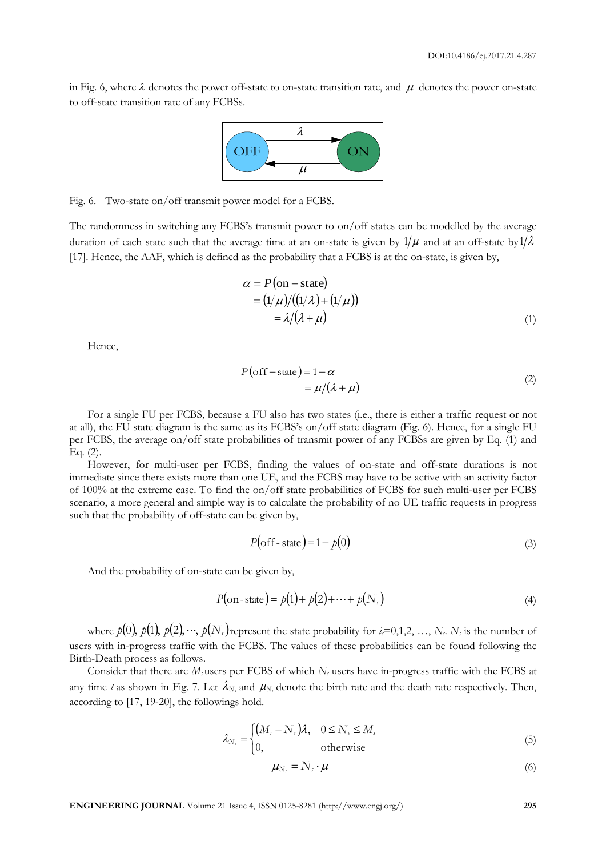in Fig. 6, where  $\lambda$  denotes the power off-state to on-state transition rate, and  $\mu$  denotes the power on-state to off-state transition rate of any FCBSs.



Fig. 6. Two-state on/off transmit power model for a FCBS.

The randomness in switching any FCBS's transmit power to on/off states can be modelled by the average duration of each state such that the average time at an on-state is given by  $1/\mu$  and at an off-state by  $1/\lambda$ [17]. Hence, the AAF, which is defined as the probability that a FCBS is at the on-state, is given by,

$$
\alpha = P(\text{on} - \text{state})
$$
  
=  $(1/\mu)/((1/\lambda) + (1/\mu))$   
=  $\lambda/(\lambda + \mu)$  (1)

Hence,

$$
P\left(\text{off} - \text{state}\right) = 1 - \alpha
$$
  
=  $\mu/(\lambda + \mu)$  (2)

For a single FU per FCBS, because a FU also has two states (i.e., there is either a traffic request or not at all), the FU state diagram is the same as its FCBS's on/off state diagram (Fig. 6). Hence, for a single FU per FCBS, the average on/off state probabilities of transmit power of any FCBSs are given by Eq. (1) and Eq. (2).

However, for multi-user per FCBS, finding the values of on-state and off-state durations is not immediate since there exists more than one UE, and the FCBS may have to be active with an activity factor of 100% at the extreme case. To find the on/off state probabilities of FCBS for such multi-user per FCBS scenario, a more general and simple way is to calculate the probability of no UE traffic requests in progress such that the probability of off-state can be given by,

$$
P(\text{off-state}) = 1 - p(0) \tag{3}
$$

And the probability of on-state can be given by,

$$
P(\text{on-state}) = p(1) + p(2) + \dots + p(N_s)
$$
\n(4)

where  $p(0), p(1), p(2), \cdots, p(N)$  represent the state probability for  $i$ =0,1,2, …, *N<sub>s</sub>*. *N<sub>s</sub>* is the number of users with in-progress traffic with the FCBS. The values of these probabilities can be found following the Birth-Death process as follows.

Consider that there are *M<sup>s</sup>* users per FCBS of which *N<sup>s</sup>* users have in-progress traffic with the FCBS at any time *t* as shown in Fig. 7. Let  $\lambda_{N_s}$  and  $\mu_{N_s}$  denote the birth rate and the death rate respectively. Then, according to [17, 19-20], the followings hold.

$$
\lambda_{N_s} = \begin{cases} (M_s - N_s)\lambda, & 0 \le N_s \le M_s \\ 0, & \text{otherwise} \end{cases}
$$
(5)

$$
\mu_{N_s} = N_s \cdot \mu \tag{6}
$$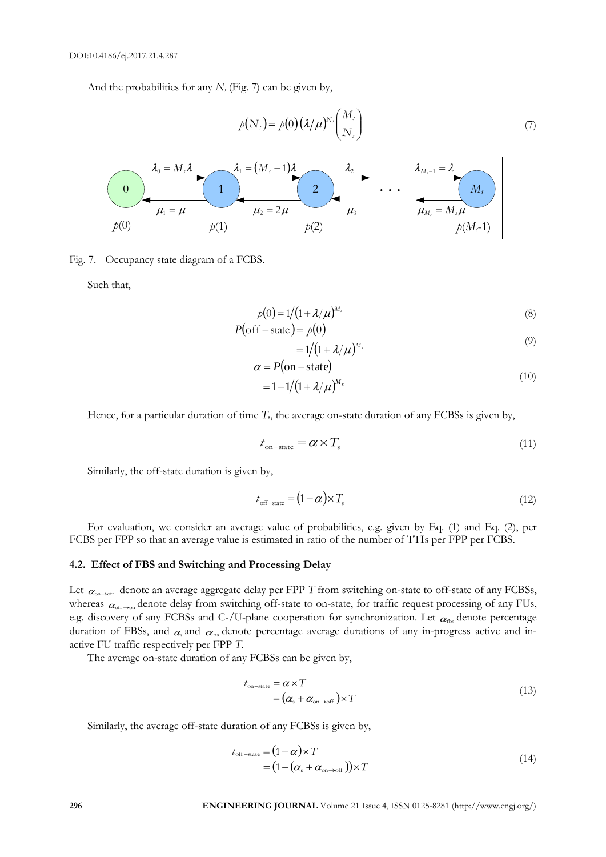And the probabilities for any *N<sup>s</sup>* (Fig. 7) can be given by,

$$
p(N_s) = p(0) \left(\frac{\lambda}{\mu}\right)^{N_s} \binom{M_s}{N_s} \tag{7}
$$



Fig. 7. Occupancy state diagram of a FCBS.

Such that,

$$
p(0) = 1/(1 + \lambda/\mu)^{M_s}
$$
\n(8)

$$
P(\text{off-state}) = p(0)
$$
  
= 1/(1 + \lambda/\mu)<sup>M</sup> (9)

$$
\alpha = P(\text{on} - \text{state})
$$
  
= 1 - 1/(1 + \lambda/\mu)^{M\_s} (10)

Hence, for a particular duration of time *T*s, the average on-state duration of any FCBSs is given by,

$$
t_{\text{on-state}} = \alpha \times T_{\text{s}} \tag{11}
$$

Similarly, the off-state duration is given by,

$$
t_{\text{off-state}} = (1 - \alpha) \times T_s \tag{12}
$$

For evaluation, we consider an average value of probabilities, e.g. given by Eq. (1) and Eq. (2), per FCBS per FPP so that an average value is estimated in ratio of the number of TTIs per FPP per FCBS.

# **4.2. Effect of FBS and Switching and Processing Delay**

Let  $\alpha_{\text{on}\to\text{off}}$  denote an average aggregate delay per FPP  $T$  from switching on-state to off-state of any FCBSs, whereas  $\alpha_{\rm off\to on}$  denote delay from switching off-state to on-state, for traffic request processing of any FUs, e.g. discovery of any FCBSs and C-/U-plane cooperation for synchronization. Let  $\alpha_{\rm ns}$  denote percentage duration of FBSs, and  $\alpha$  and  $\alpha$  denote percentage average durations of any in-progress active and inactive FU traffic respectively per FPP *T*.

The average on-state duration of any FCBSs can be given by,

$$
t_{\text{on-state}} = \alpha \times T
$$
  
=  $(\alpha_s + \alpha_{\text{on}\to\text{off}}) \times T$  (13)

Similarly, the average off-state duration of any FCBSs is given by,

$$
t_{\text{off-state}} = (1 - \alpha) \times T
$$
  
=  $(1 - (\alpha_s + \alpha_{\text{on}\to\text{off}})) \times T$  (14)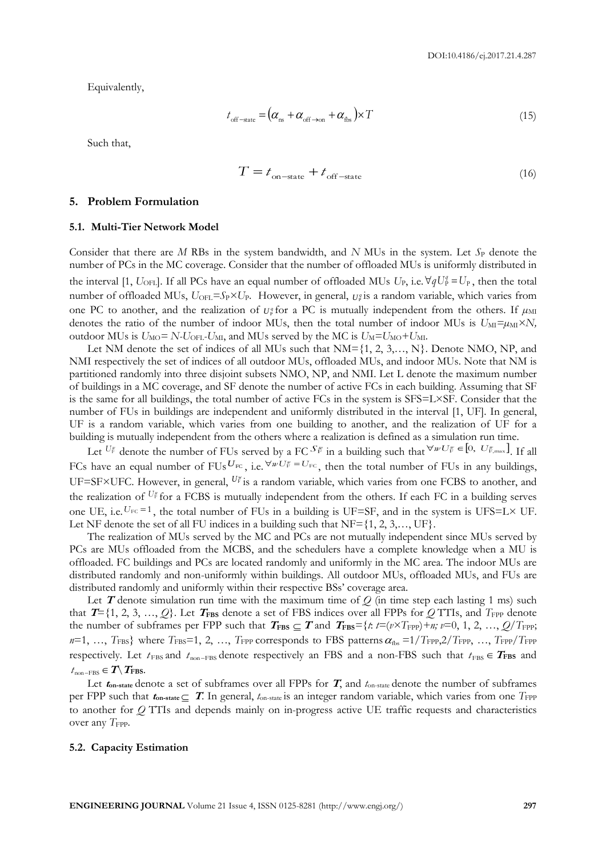Equivalently,

$$
t_{\text{off-state}} = (\alpha_{\text{ns}} + \alpha_{\text{off}\to\text{on}} + \alpha_{\text{fbs}}) \times T
$$
\n(15)

Such that,

$$
T = t_{\text{on-state}} + t_{\text{off-state}} \tag{16}
$$

#### **5. Problem Formulation**

#### **5.1. Multi-Tier Network Model**

Consider that there are *M* RBs in the system bandwidth, and *N* MUs in the system. Let  $S<sub>P</sub>$  denote the number of PCs in the MC coverage. Consider that the number of offloaded MUs is uniformly distributed in the interval [1,  $U_{\text{OFL}}$ ]. If all PCs have an equal number of offloaded MUs  $U_P$ , i.e.  $\forall qU_P^q = U_P$ , then the total number of offloaded MUs,  $U_{\text{OFL}} = S_P \times U_P$ . However, in general,  $U_P^q$  is a random variable, which varies from one PC to another, and the realization of  $U^q$  for a PC is mutually independent from the others. If  $\mu_M$ denotes the ratio of the number of indoor MUs, then the total number of indoor MUs is  $U_M = \mu_M \times N$ , outdoor MUs is  $U_{\text{MO}} = N \cdot U_{\text{OFL}} \cdot U_{\text{MI}}$ , and MUs served by the MC is  $U_{\text{M}} = U_{\text{MO}} + U_{\text{MI}}$ .

Let NM denote the set of indices of all MUs such that  $NM = \{1, 2, 3, \ldots, N\}$ . Denote NMO, NP, and NMI respectively the set of indices of all outdoor MUs, offloaded MUs, and indoor MUs. Note that NM is partitioned randomly into three disjoint subsets NMO, NP, and NMI. Let L denote the maximum number of buildings in a MC coverage, and SF denote the number of active FCs in each building. Assuming that SF is the same for all buildings, the total number of active FCs in the system is SFS=L×SF. Consider that the number of FUs in buildings are independent and uniformly distributed in the interval [1, UF]. In general, UF is a random variable, which varies from one building to another, and the realization of UF for a building is mutually independent from the others where a realization is defined as a simulation run time.

Let  $U_F^w$  denote the number of FUs served by a FC  $S_F^w$  in a building such that  $\forall w \cup F_F \in [0, U_{F,\text{max}}^w]$ . If all FCs have an equal number of FUs  $U_{\text{FC}}$ , i.e.  $\forall w \cdot U_{\text{FC}}^w = U_{\text{FC}}$ , then the total number of FUs in any buildings, UF=SF×UFC. However, in general,  $U_F^*$  is a random variable, which varies from one FCBS to another, and the realization of U<sub>F</sub> for a FCBS is mutually independent from the others. If each FC in a building serves one UE, i.e.  $U_{FC} = 1$ , the total number of FUs in a building is UF=SF, and in the system is UFS=L $\times$  UF. Let NF denote the set of all FU indices in a building such that  $NF={1, 2, 3, ..., UF}.$ 

The realization of MUs served by the MC and PCs are not mutually independent since MUs served by PCs are MUs offloaded from the MCBS, and the schedulers have a complete knowledge when a MU is offloaded. FC buildings and PCs are located randomly and uniformly in the MC area. The indoor MUs are distributed randomly and non-uniformly within buildings. All outdoor MUs, offloaded MUs, and FUs are distributed randomly and uniformly within their respective BSs' coverage area.

Let  $T$  denote simulation run time with the maximum time of  $Q$  (in time step each lasting 1 ms) such that  $T = \{1, 2, 3, ..., Q\}$ . Let  $T_{\text{FBS}}$  denote a set of FBS indices over all FPPs for *Q* TTIs, and  $T_{\text{FPP}}$  denote the number of subframes per FPP such that  $T_{\text{FBS}} \subseteq T$  and  $T_{\text{FBS}} = \{t: t = (v \times T_{\text{FPP}}) + n; v = 0, 1, 2, ..., Q/T_{\text{FPP}}\}$  $n=1,\;...,\;T_{\rm FBS}\}$  where  $T_{\rm FBS}$ =1, 2, …,  $T_{\rm FPP}$  corresponds to FBS patterns  $\alpha_{\rm{fbs}}$  =1/ $T_{\rm FPP},2/T_{\rm FPP},\;...,\;T_{\rm FPP}/T_{\rm FPP}$ respectively. Let  $t_{\text{FBS}}$  and  $t_{\text{non-FBS}}$  denote respectively an FBS and a non-FBS such that  $t_{\text{FBS}} \in T_{\text{FBS}}$  and  $t_{\text{non-FBS}} \in T \setminus T_{\text{FBS}}.$ 

Let  $t_{\text{on-state}}$  denote a set of subframes over all FPPs for  $T$ , and  $t_{\text{on-state}}$  denote the number of subframes per FPP such that  $t_{\text{on-state}}$   $\subseteq$   $T$ . In general,  $t_{\text{on-state}}$  is an integer random variable, which varies from one  $T_{\text{FPP}}$ to another for *Q* TTIs and depends mainly on in-progress active UE traffic requests and characteristics over any T<sub>FPP</sub>.

#### **5.2. Capacity Estimation**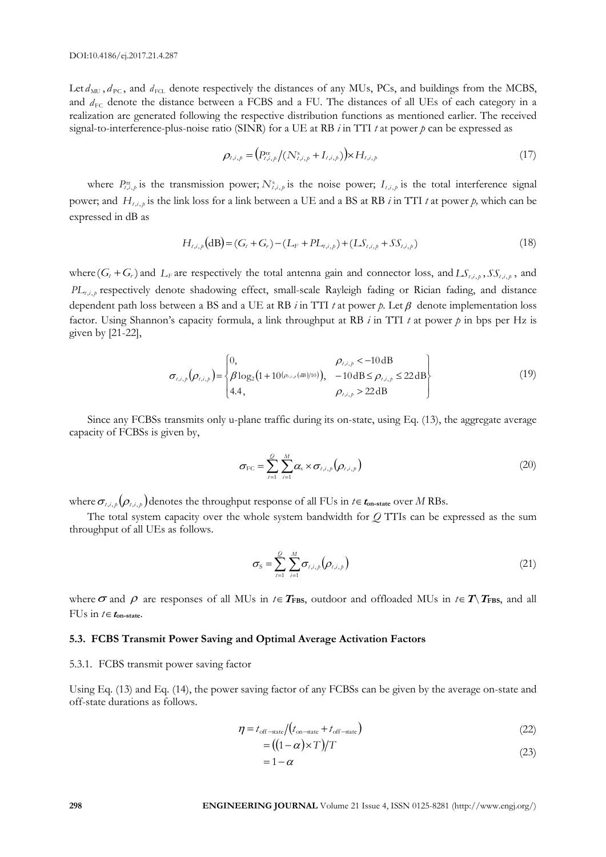Let  $d_{\text{MU}}$ ,  $d_{\text{PC}}$ , and  $d_{\text{FCL}}$  denote respectively the distances of any MUs, PCs, and buildings from the MCBS, and  $d_{\text{FC}}$  denote the distance between a FCBS and a FU. The distances of all UEs of each category in a realization are generated following the respective distribution functions as mentioned earlier. The received signal-to-interference-plus-noise ratio (SINR) for a UE at RB *i* in TTI *t* at power *p* can be expressed as

$$
\rho_{t,i,p} = (P_{t,i,p}^{\text{tr}}/(N_{t,i,p}^{\text{s}} + I_{t,i,p})) \times H_{t,i,p}
$$
\n(17)

where  $P_{t,i,p}^{\text{tr}}$  is the transmission power;  $N_{t,i,p}^{\text{s}}$  is the noise power;  $I_{t,i,p}$  is the total interference signal power; and  $H_{t,i,p}$  is the link loss for a link between a UE and a BS at RB *i* in TTI *t* at power *p*, which can be expressed in dB as

$$
H_{t,i,p}(\text{dB}) = (G_t + G_r) - (L_F + PL_{t,i,p}) + (L\mathcal{S}_{t,i,p} + S\mathcal{S}_{t,i,p})
$$
\n(18)

where  $(G_t + G_r)$  and  $L_F$  are respectively the total antenna gain and connector loss, and  $LS_{t,i,p}$ ,  $SS_{t,i,p}$ , and *PL*<sub>t</sub>,*i*,*p* respectively denote shadowing effect, small-scale Rayleigh fading or Rician fading, and distance dependent path loss between a BS and a UE at RB  $i$  in TTI  $t$  at power  $p$ . Let  $\beta$  denote implementation loss factor. Using Shannon's capacity formula, a link throughput at RB *i* in TTI *t* at power *p* in bps per Hz is given by [21-22],

$$
\sigma_{i,i,p}(\rho_{i,i,p}) = \begin{cases}\n0, & \rho_{i,i,p} < -10 \, \text{dB} \\
\beta \log_2(1 + 10^{(\rho_{i,i,p}(\text{dB})/10)}), & -10 \, \text{dB} \le \rho_{i,i,p} \le 22 \, \text{dB} \\
4.4, & \rho_{i,i,p} > 22 \, \text{dB}\n\end{cases}
$$
\n(19)

Since any FCBSs transmits only u-plane traffic during its on-state, using Eq. (13), the aggregate average capacity of FCBSs is given by,

$$
\sigma_{\text{FC}} = \sum_{t=1}^{Q} \sum_{i=1}^{M} \alpha_s \times \sigma_{t,i,p} \left( \rho_{t,i,p} \right)
$$
\n(20)

where  $\sigma_{t,i,\rho}(\rho_{t,i,p})$  denotes the throughput response of all FUs in  $t \in t_{\text{on-state}}$  over  $M$  RBs.

The total system capacity over the whole system bandwidth for *Q* TTIs can be expressed as the sum throughput of all UEs as follows.

$$
\sigma_{\rm S} = \sum_{i=1}^{Q} \sum_{i=1}^{M} \sigma_{i,i,p} \left( \rho_{i,i,p} \right)
$$
\n(21)

where  $\sigma$  and  $\rho$  are responses of all MUs in  $t \in T$ FBS, outdoor and offloaded MUs in  $t \in T \setminus T$ FBS, and all FUs in  $t \in t_{\text{on-state}}$ .

# **5.3. FCBS Transmit Power Saving and Optimal Average Activation Factors**

#### 5.3.1. FCBS transmit power saving factor

Using Eq. (13) and Eq. (14), the power saving factor of any FCBSs can be given by the average on-state and off-state durations as follows.

$$
\eta = t_{\text{off-state}}/(t_{\text{on-state}} + t_{\text{off-state}})
$$
\n
$$
= ((1 - \alpha) \times T)/T
$$
\n(22)

$$
= 1 - \alpha \tag{23}
$$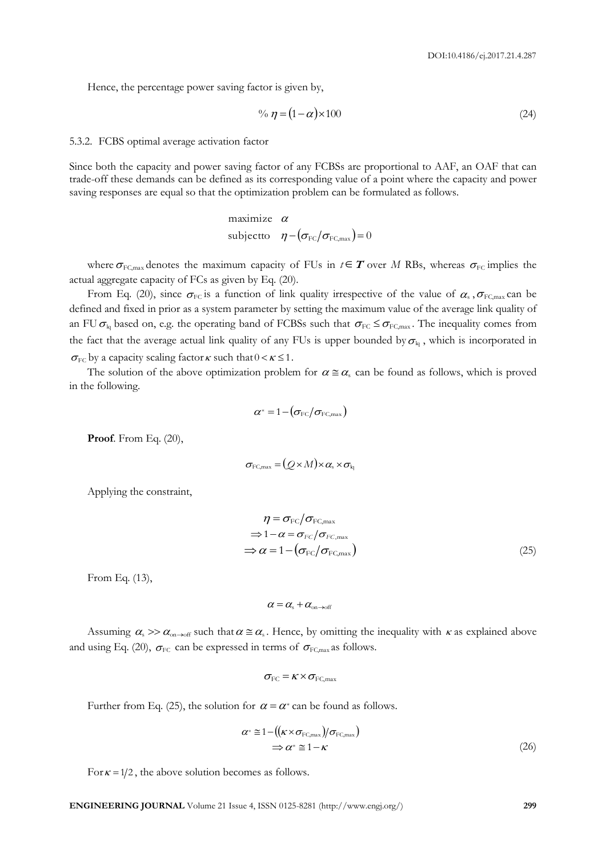Hence, the percentage power saving factor is given by,

$$
\% \eta = (1 - \alpha) \times 100 \tag{24}
$$

# 5.3.2. FCBS optimal average activation factor

Since both the capacity and power saving factor of any FCBSs are proportional to AAF, an OAF that can trade-off these demands can be defined as its corresponding value of a point where the capacity and power saving responses are equal so that the optimization problem can be formulated as follows.

maximize 
$$
\alpha
$$
  
subject to  $\eta - (\sigma_{\text{FC}}/\sigma_{\text{FC,max}}) = 0$ 

where  $\sigma_{FC, max}$  denotes the maximum capacity of FUs in  $t \in T$  over M RBs, whereas  $\sigma_{FC}$  implies the actual aggregate capacity of FCs as given by Eq. (20).

From Eq. (20), since  $\sigma_{FC}$  is a function of link quality irrespective of the value of  $\alpha_s$ ,  $\sigma_{FC, max}$  can be defined and fixed in prior as a system parameter by setting the maximum value of the average link quality of an FU  $\sigma_{kq}$  based on, e.g. the operating band of FCBSs such that  $\sigma_{FC} \leq \sigma_{FC,max}$ . The inequality comes from the fact that the average actual link quality of any FUs is upper bounded by  $\sigma_{k}$ , which is incorporated in  $\sigma_{\text{FC}}$  by a capacity scaling factor  $\kappa$  such that  $0 < \kappa \leq 1$ .

The solution of the above optimization problem for  $\alpha \equiv \alpha_s$  can be found as follows, which is proved in the following.

$$
\alpha^* = 1 - (\sigma_{\text{FC}} / \sigma_{\text{FC,max}})
$$

**Proof**. From Eq. (20),

$$
\sigma_{\text{FC,max}} = (Q \times M) \times \alpha_{\text{s}} \times \sigma_{\text{kq}}
$$

Applying the constraint,

$$
\eta = \sigma_{\text{FC}} / \sigma_{\text{FC,max}}
$$
  
\n
$$
\Rightarrow 1 - \alpha = \sigma_{\text{FC}} / \sigma_{\text{FC,max}}
$$
  
\n
$$
\Rightarrow \alpha = 1 - (\sigma_{\text{FC}} / \sigma_{\text{FC,max}})
$$
\n(25)

From Eq. (13),

$$
\alpha = \alpha_{\rm s} + \alpha_{\rm on \to off}
$$

Assuming  $\alpha_s \gg \alpha_{\text{on}\to\text{off}}$  such that  $\alpha \equiv \alpha_s$ . Hence, by omitting the inequality with  $\kappa$  as explained above and using Eq. (20),  $\sigma_{\text{FC}}$  can be expressed in terms of  $\sigma_{\text{FC,max}}$  as follows.

$$
\sigma_{\rm FC} = \kappa \times \sigma_{\rm FC, max}
$$

Further from Eq. (25), the solution for  $\alpha = \alpha^*$  can be found as follows.

$$
\alpha^* \cong 1 - ((\kappa \times \sigma_{FC, max})/\sigma_{FC, max})
$$
  
\n
$$
\Rightarrow \alpha^* \cong 1 - \kappa
$$
 (26)

For  $\kappa = 1/2$ , the above solution becomes as follows.

**ENGINEERING JOURNAL** Volume 21 Issue 4, ISSN 0125-8281 (http://www.engj.org/) **299**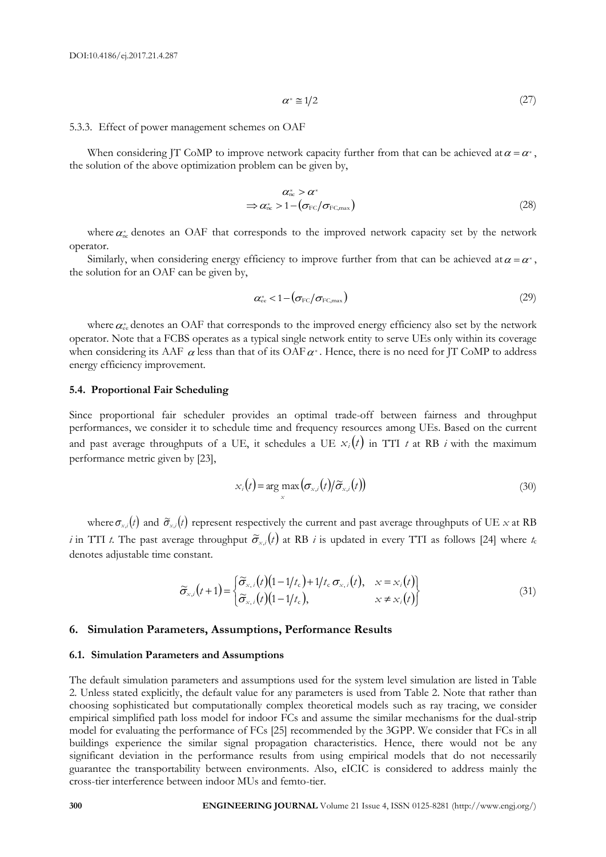$$
\alpha^* \equiv 1/2 \tag{27}
$$

# 5.3.3. Effect of power management schemes on OAF

When considering JT CoMP to improve network capacity further from that can be achieved at  $\alpha = \alpha^*$ , the solution of the above optimization problem can be given by,

$$
\alpha_{\text{nc}}^* > \alpha^* \n\Rightarrow \alpha_{\text{nc}}^* > 1 - (\sigma_{\text{FC}}/\sigma_{\text{FC,max}})
$$
\n(28)

where  $\alpha_{nc}^*$  denotes an OAF that corresponds to the improved network capacity set by the network operator.

Similarly, when considering energy efficiency to improve further from that can be achieved at  $\alpha = \alpha^*$ , the solution for an OAF can be given by,

$$
\alpha_{\rm ee}^* < 1 - \left(\sigma_{\rm FC}/\sigma_{\rm FC, max}\right) \tag{29}
$$

where  $\alpha_{ee}^*$  denotes an OAF that corresponds to the improved energy efficiency also set by the network operator. Note that a FCBS operates as a typical single network entity to serve UEs only within its coverage when considering its AAF  $\alpha$  less than that of its OAF  $\alpha^*$ . Hence, there is no need for JT CoMP to address energy efficiency improvement.

# **5.4. Proportional Fair Scheduling**

Since proportional fair scheduler provides an optimal trade-off between fairness and throughput performances, we consider it to schedule time and frequency resources among UEs. Based on the current and past average throughputs of a UE, it schedules a UE  $x_i(t)$  in TTI *t* at RB *i* with the maximum performance metric given by [23],

$$
x_i(t) = \arg\max_{x} (\sigma_{x,i}(t)/\widetilde{\sigma}_{x,i}(t))
$$
\n(30)

where  $\sigma_{x,i}(t)$  and  $\widetilde{\sigma}_{x,i}(t)$  represent respectively the current and past average throughputs of UE *x* at RB *i* in TTI *t*. The past average throughput  $\tilde{\sigma}_{x,i}(t)$  at RB *i* is updated in every TTI as follows [24] where *t*c denotes adjustable time constant.

$$
\widetilde{\sigma}_{x,i}(t+1) = \begin{cases}\n\widetilde{\sigma}_{x,i}(t)(1-1/t_c) + 1/t_c \, \sigma_{x,i}(t), & x = x_i(t) \\
\widetilde{\sigma}_{x,i}(t)(1-1/t_c), & x \neq x_i(t)\n\end{cases}
$$
\n(31)

# **6. Simulation Parameters, Assumptions, Performance Results**

#### **6.1. Simulation Parameters and Assumptions**

The default simulation parameters and assumptions used for the system level simulation are listed in Table 2. Unless stated explicitly, the default value for any parameters is used from Table 2. Note that rather than choosing sophisticated but computationally complex theoretical models such as ray tracing, we consider empirical simplified path loss model for indoor FCs and assume the similar mechanisms for the dual-strip model for evaluating the performance of FCs [25] recommended by the 3GPP. We consider that FCs in all buildings experience the similar signal propagation characteristics. Hence, there would not be any significant deviation in the performance results from using empirical models that do not necessarily guarantee the transportability between environments. Also, eICIC is considered to address mainly the cross-tier interference between indoor MUs and femto-tier.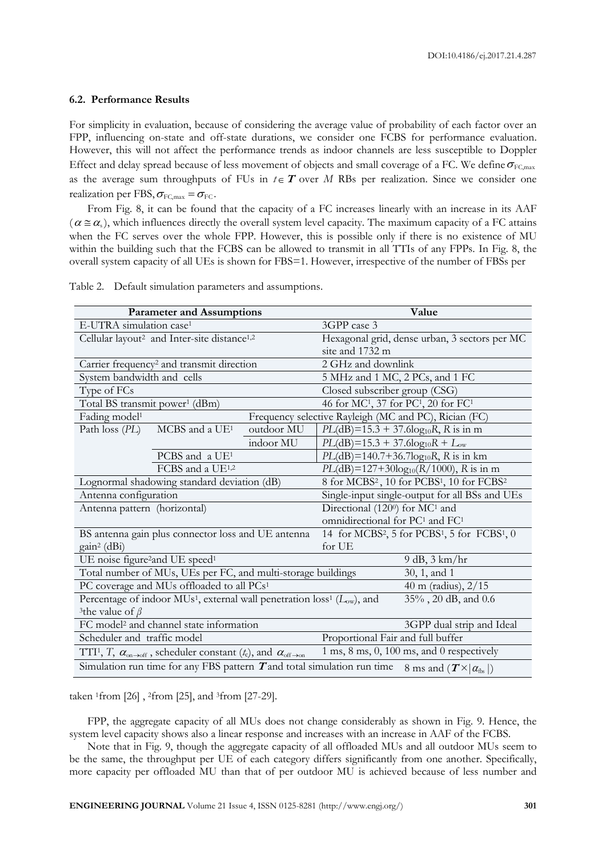#### **6.2. Performance Results**

For simplicity in evaluation, because of considering the average value of probability of each factor over an FPP, influencing on-state and off-state durations, we consider one FCBS for performance evaluation. However, this will not affect the performance trends as indoor channels are less susceptible to Doppler Effect and delay spread because of less movement of objects and small coverage of a FC. We define  $\sigma_{\rm FC, max}$ as the average sum throughputs of FUs in  $t \in T$  over M RBs per realization. Since we consider one realization per FBS,  $\sigma_{\text{FC,max}} = \sigma_{\text{FC}}$ .

From Fig. 8, it can be found that the capacity of a FC increases linearly with an increase in its AAF  $(\alpha \le \alpha_s)$ , which influences directly the overall system level capacity. The maximum capacity of a FC attains when the FC serves over the whole FPP. However, this is possible only if there is no existence of MU within the building such that the FCBS can be allowed to transmit in all TTIs of any FPPs. In Fig. 8, the overall system capacity of all UEs is shown for FBS=1. However, irrespective of the number of FBSs per

| <b>Parameter and Assumptions</b>                                                                                                                                                                                                       |                                                       |                                             | Value                                                                            |                                           |  |
|----------------------------------------------------------------------------------------------------------------------------------------------------------------------------------------------------------------------------------------|-------------------------------------------------------|---------------------------------------------|----------------------------------------------------------------------------------|-------------------------------------------|--|
| E-UTRA simulation case <sup>1</sup>                                                                                                                                                                                                    |                                                       |                                             | 3GPP case 3                                                                      |                                           |  |
| Cellular layout <sup>2</sup> and Inter-site distance <sup>1,2</sup>                                                                                                                                                                    |                                                       |                                             | Hexagonal grid, dense urban, 3 sectors per MC                                    |                                           |  |
|                                                                                                                                                                                                                                        |                                                       |                                             | site and 1732 m                                                                  |                                           |  |
| Carrier frequency <sup>2</sup> and transmit direction                                                                                                                                                                                  |                                                       |                                             | 2 GHz and downlink                                                               |                                           |  |
| System bandwidth and cells                                                                                                                                                                                                             |                                                       |                                             | 5 MHz and 1 MC, 2 PCs, and 1 FC                                                  |                                           |  |
| Type of FCs                                                                                                                                                                                                                            |                                                       |                                             | Closed subscriber group (CSG)                                                    |                                           |  |
| Total BS transmit power <sup>1</sup> (dBm)                                                                                                                                                                                             |                                                       |                                             | 46 for MC <sup>1</sup> , 37 for PC <sup>1</sup> , 20 for FC <sup>1</sup>         |                                           |  |
| Fading model <sup>1</sup>                                                                                                                                                                                                              | Frequency selective Rayleigh (MC and PC), Rician (FC) |                                             |                                                                                  |                                           |  |
| Path loss (PL)                                                                                                                                                                                                                         | MCBS and a UE <sup>1</sup>                            | outdoor MU                                  |                                                                                  | $PL(dB)=15.3 + 37.6log_{10}R$ , R is in m |  |
|                                                                                                                                                                                                                                        |                                                       | indoor MU                                   | $PL(dB)=15.3 + 37.6log_{10}R + L_{ow}$                                           |                                           |  |
|                                                                                                                                                                                                                                        | PCBS and a $UE1$                                      |                                             |                                                                                  | $PL(dB)=140.7+36.7log_{10}R$ , R is in km |  |
| FCBS and a UE1,2                                                                                                                                                                                                                       |                                                       | $PL(dB)=127+30log_{10}(R/1000)$ , R is in m |                                                                                  |                                           |  |
| Lognormal shadowing standard deviation (dB)                                                                                                                                                                                            |                                                       |                                             | 8 for MCBS <sup>2</sup> , 10 for PCBS <sup>1</sup> , 10 for FCBS <sup>2</sup>    |                                           |  |
| Antenna configuration                                                                                                                                                                                                                  |                                                       |                                             | Single-input single-output for all BSs and UEs                                   |                                           |  |
| Antenna pattern (horizontal)                                                                                                                                                                                                           |                                                       | Directional (1200) for MC <sup>1</sup> and  |                                                                                  |                                           |  |
|                                                                                                                                                                                                                                        |                                                       |                                             | omnidirectional for PC <sup>1</sup> and FC <sup>1</sup>                          |                                           |  |
| BS antenna gain plus connector loss and UE antenna                                                                                                                                                                                     |                                                       |                                             | 14 for MCBS <sup>2</sup> , 5 for PCBS <sup>1</sup> , 5 for FCBS <sup>1</sup> , 0 |                                           |  |
| gain <sup>2</sup> (dBi)<br>for UE                                                                                                                                                                                                      |                                                       |                                             |                                                                                  |                                           |  |
| UE noise figure <sup>2</sup> and UE speed <sup>1</sup>                                                                                                                                                                                 |                                                       |                                             |                                                                                  | 9 dB, 3 km/hr                             |  |
| Total number of MUs, UEs per FC, and multi-storage buildings                                                                                                                                                                           |                                                       |                                             |                                                                                  | 30, 1, and 1                              |  |
| PC coverage and MUs offloaded to all PCs <sup>1</sup>                                                                                                                                                                                  |                                                       |                                             |                                                                                  | 40 m (radius), $2/15$                     |  |
| Percentage of indoor MUs <sup>1</sup> , external wall penetration loss <sup>1</sup> ( $L_{ow}$ ), and                                                                                                                                  |                                                       |                                             |                                                                                  | 35%, 20 dB, and 0.6                       |  |
| <sup>3</sup> the value of $\beta$                                                                                                                                                                                                      |                                                       |                                             |                                                                                  |                                           |  |
| FC model <sup>2</sup> and channel state information                                                                                                                                                                                    |                                                       |                                             |                                                                                  | 3GPP dual strip and Ideal                 |  |
| Proportional Fair and full buffer<br>Scheduler and traffic model                                                                                                                                                                       |                                                       |                                             |                                                                                  |                                           |  |
| $1 \text{ ms}, 8 \text{ ms}, 0, 100 \text{ ms},$ and $0 \text{ respectively}$<br>TTI <sup>1</sup> , T, $\alpha_{\text{on}\rightarrow\text{off}}$ , scheduler constant (t <sub>c</sub> ), and $\alpha_{\text{off}\rightarrow\text{on}}$ |                                                       |                                             |                                                                                  |                                           |  |
| Simulation run time for any FBS pattern $T$ and total simulation run time<br>8 ms and $(T \times  \alpha_{\text{fbs}} )$                                                                                                               |                                                       |                                             |                                                                                  |                                           |  |

Table 2. Default simulation parameters and assumptions.

taken <sup>1</sup>from [26] , <sup>2</sup>from [25], and <sup>3</sup>from [27-29].

FPP, the aggregate capacity of all MUs does not change considerably as shown in Fig. 9. Hence, the system level capacity shows also a linear response and increases with an increase in AAF of the FCBS.

Note that in Fig. 9, though the aggregate capacity of all offloaded MUs and all outdoor MUs seem to be the same, the throughput per UE of each category differs significantly from one another. Specifically, more capacity per offloaded MU than that of per outdoor MU is achieved because of less number and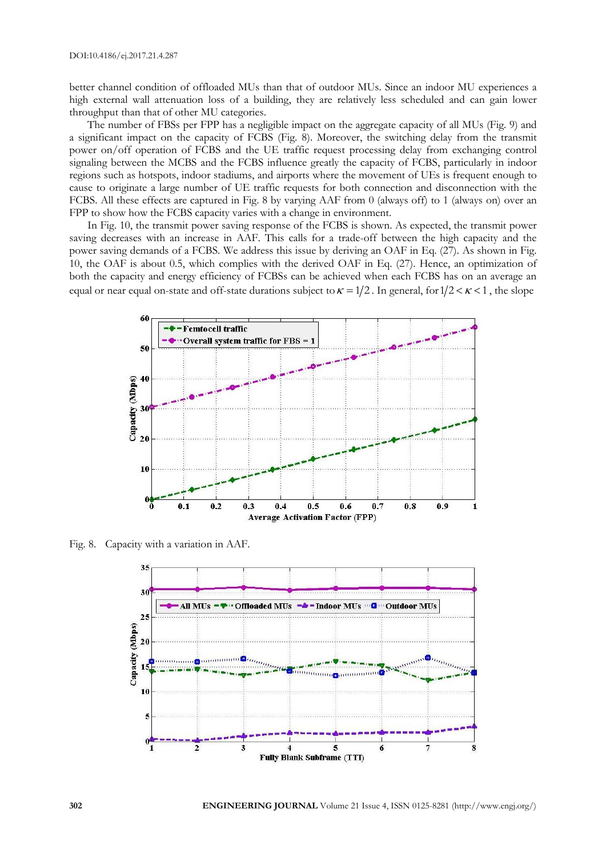better channel condition of offloaded MUs than that of outdoor MUs. Since an indoor MU experiences a high external wall attenuation loss of a building, they are relatively less scheduled and can gain lower throughput than that of other MU categories.

The number of FBSs per FPP has a negligible impact on the aggregate capacity of all MUs (Fig. 9) and a significant impact on the capacity of FCBS (Fig. 8). Moreover, the switching delay from the transmit power on/off operation of FCBS and the UE traffic request processing delay from exchanging control signaling between the MCBS and the FCBS influence greatly the capacity of FCBS, particularly in indoor regions such as hotspots, indoor stadiums, and airports where the movement of UEs is frequent enough to cause to originate a large number of UE traffic requests for both connection and disconnection with the FCBS. All these effects are captured in Fig. 8 by varying AAF from 0 (always off) to 1 (always on) over an FPP to show how the FCBS capacity varies with a change in environment.

In Fig. 10, the transmit power saving response of the FCBS is shown. As expected, the transmit power saving decreases with an increase in AAF. This calls for a trade-off between the high capacity and the power saving demands of a FCBS. We address this issue by deriving an OAF in Eq. (27). As shown in Fig. 10, the OAF is about 0.5, which complies with the derived OAF in Eq. (27). Hence, an optimization of both the capacity and energy efficiency of FCBSs can be achieved when each FCBS has on an average an equal or near equal on-state and off-state durations subject to  $\kappa = 1/2$ . In general, for  $1/2 < \kappa < 1$ , the slope



Fig. 8. Capacity with a variation in AAF.

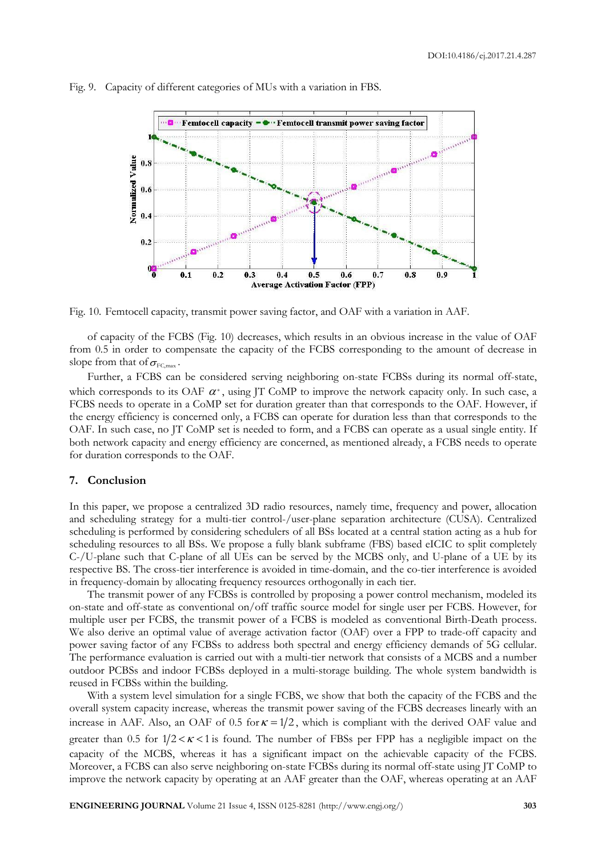

Fig. 9. Capacity of different categories of MUs with a variation in FBS.

Fig. 10. Femtocell capacity, transmit power saving factor, and OAF with a variation in AAF.

of capacity of the FCBS (Fig. 10) decreases, which results in an obvious increase in the value of OAF from 0.5 in order to compensate the capacity of the FCBS corresponding to the amount of decrease in slope from that of  $\sigma_{\text{\tiny FC,max}}$ .

Further, a FCBS can be considered serving neighboring on-state FCBSs during its normal off-state, which corresponds to its OAF  $\alpha^*$ , using JT CoMP to improve the network capacity only. In such case, a FCBS needs to operate in a CoMP set for duration greater than that corresponds to the OAF. However, if the energy efficiency is concerned only, a FCBS can operate for duration less than that corresponds to the OAF. In such case, no JT CoMP set is needed to form, and a FCBS can operate as a usual single entity. If both network capacity and energy efficiency are concerned, as mentioned already, a FCBS needs to operate for duration corresponds to the OAF.

# **7. Conclusion**

In this paper, we propose a centralized 3D radio resources, namely time, frequency and power, allocation and scheduling strategy for a multi-tier control-/user-plane separation architecture (CUSA). Centralized scheduling is performed by considering schedulers of all BSs located at a central station acting as a hub for scheduling resources to all BSs. We propose a fully blank subframe (FBS) based eICIC to split completely C-/U-plane such that C-plane of all UEs can be served by the MCBS only, and U-plane of a UE by its respective BS. The cross-tier interference is avoided in time-domain, and the co-tier interference is avoided in frequency-domain by allocating frequency resources orthogonally in each tier.

The transmit power of any FCBSs is controlled by proposing a power control mechanism, modeled its on-state and off-state as conventional on/off traffic source model for single user per FCBS. However, for multiple user per FCBS, the transmit power of a FCBS is modeled as conventional Birth-Death process. We also derive an optimal value of average activation factor (OAF) over a FPP to trade-off capacity and power saving factor of any FCBSs to address both spectral and energy efficiency demands of 5G cellular. The performance evaluation is carried out with a multi-tier network that consists of a MCBS and a number outdoor PCBSs and indoor FCBSs deployed in a multi-storage building. The whole system bandwidth is reused in FCBSs within the building.

With a system level simulation for a single FCBS, we show that both the capacity of the FCBS and the overall system capacity increase, whereas the transmit power saving of the FCBS decreases linearly with an increase in AAF. Also, an OAF of 0.5 for  $\kappa = 1/2$ , which is compliant with the derived OAF value and greater than 0.5 for  $1/2 < \kappa < 1$  is found. The number of FBSs per FPP has a negligible impact on the capacity of the MCBS, whereas it has a significant impact on the achievable capacity of the FCBS. Moreover, a FCBS can also serve neighboring on-state FCBSs during its normal off-state using JT CoMP to improve the network capacity by operating at an AAF greater than the OAF, whereas operating at an AAF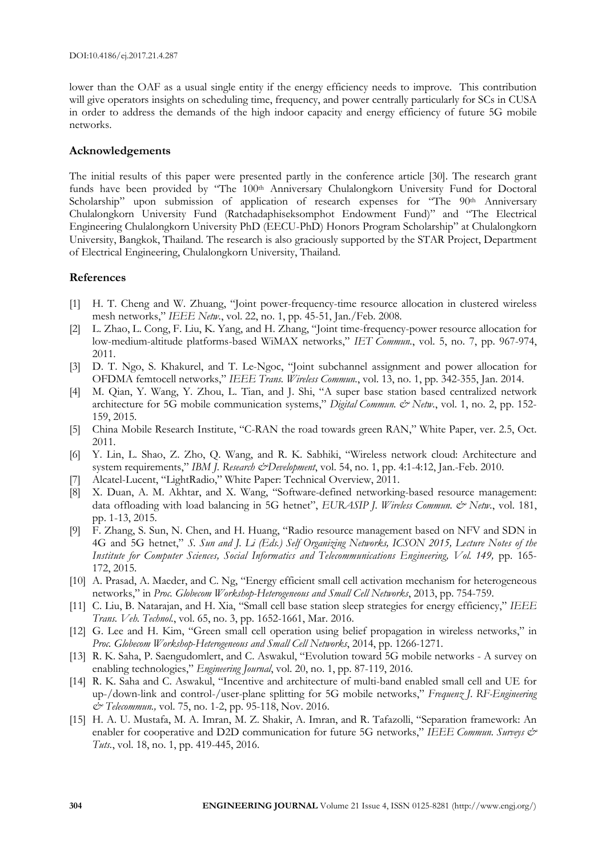lower than the OAF as a usual single entity if the energy efficiency needs to improve. This contribution will give operators insights on scheduling time, frequency, and power centrally particularly for SCs in CUSA in order to address the demands of the high indoor capacity and energy efficiency of future 5G mobile networks.

# **Acknowledgements**

The initial results of this paper were presented partly in the conference article [30]. The research grant funds have been provided by "The 100th Anniversary Chulalongkorn University Fund for Doctoral Scholarship" upon submission of application of research expenses for "The 90<sup>th</sup> Anniversary Chulalongkorn University Fund (Ratchadaphiseksomphot Endowment Fund)" and "The Electrical Engineering Chulalongkorn University PhD (EECU-PhD) Honors Program Scholarship" at Chulalongkorn University, Bangkok, Thailand. The research is also graciously supported by the STAR Project, Department of Electrical Engineering, Chulalongkorn University, Thailand.

# **References**

- [1] H. T. Cheng and W. Zhuang, "Joint power-frequency-time resource allocation in clustered wireless mesh networks," *IEEE Netw.*, vol. 22, no. 1, pp. 45-51, Jan./Feb. 2008.
- [2] L. Zhao, L. Cong, F. Liu, K. Yang, and H. Zhang, "Joint time-frequency-power resource allocation for low-medium-altitude platforms-based WiMAX networks," *IET Commun.*, vol. 5, no. 7, pp. 967-974, 2011.
- [3] D. T. Ngo, S. Khakurel, and T. Le-Ngoc, "Joint subchannel assignment and power allocation for OFDMA femtocell networks," *IEEE Trans. Wireless Commun.*, vol. 13, no. 1, pp. 342-355, Jan. 2014.
- [4] M. Qian, Y. Wang, Y. Zhou, L. Tian, and J. Shi, "A super base station based centralized network architecture for 5G mobile communication systems," *Digital Commun.*  $\dot{\mathcal{C}}$  *Netw.*, vol. 1, no. 2, pp. 152-159, 2015.
- [5] China Mobile Research Institute, "C-RAN the road towards green RAN," White Paper, ver. 2.5, Oct. 2011.
- [6] Y. Lin, L. Shao, Z. Zho, Q. Wang, and R. K. Sabhiki, "Wireless network cloud: Architecture and system requirements," *IBM J. Research & Development*, vol. 54, no. 1, pp. 4:1-4:12, Jan.-Feb. 2010.
- [7] Alcatel-Lucent, "LightRadio," White Paper: Technical Overview, 2011.
- [8] X. Duan, A. M. Akhtar, and X. Wang, "Software-defined networking-based resource management: data offloading with load balancing in 5G hetnet", *EURASIP J. Wireless Commun. & Netw.*, vol. 181, pp. 1-13, 2015.
- [9] F. Zhang, S. Sun, N. Chen, and H. Huang, "Radio resource management based on NFV and SDN in 4G and 5G hetnet," *S. Sun and J. Li (Eds.) Self Organizing Networks, ICSON 2015, Lecture Notes of the Institute for Computer Sciences, Social Informatics and Telecommunications Engineering, Vol. 149,* pp. 165- 172, 2015.
- [10] A. Prasad, A. Maeder, and C. Ng, "Energy efficient small cell activation mechanism for heterogeneous networks," in *Proc. Globecom Workshop-Heterogeneous and Small Cell Networks*, 2013, pp. 754-759.
- [11] C. Liu, B. Natarajan, and H. Xia, "Small cell base station sleep strategies for energy efficiency," *IEEE Trans. Veh. Technol.*, vol. 65, no. 3, pp. 1652-1661, Mar. 2016.
- [12] G. Lee and H. Kim, "Green small cell operation using belief propagation in wireless networks," in *Proc. Globecom Workshop-Heterogeneous and Small Cell Networks*, 2014, pp. 1266-1271.
- [13] R. K. Saha, P. Saengudomlert, and C. Aswakul, "Evolution toward 5G mobile networks A survey on enabling technologies," *Engineering Journal*, vol. 20, no. 1, pp. 87-119, 2016.
- [14] R. K. Saha and C. Aswakul, "Incentive and architecture of multi-band enabled small cell and UE for up-/down-link and control-/user-plane splitting for 5G mobile networks," *Frequenz J. RF-Engineering & Telecommun.,* vol. 75, no. 1-2, pp. 95-118, Nov. 2016.
- [15] H. A. U. Mustafa, M. A. Imran, M. Z. Shakir, A. Imran, and R. Tafazolli, "Separation framework: An enabler for cooperative and D2D communication for future 5G networks," *IEEE Commun. Surveys & Tuts.*, vol. 18, no. 1, pp. 419-445, 2016.